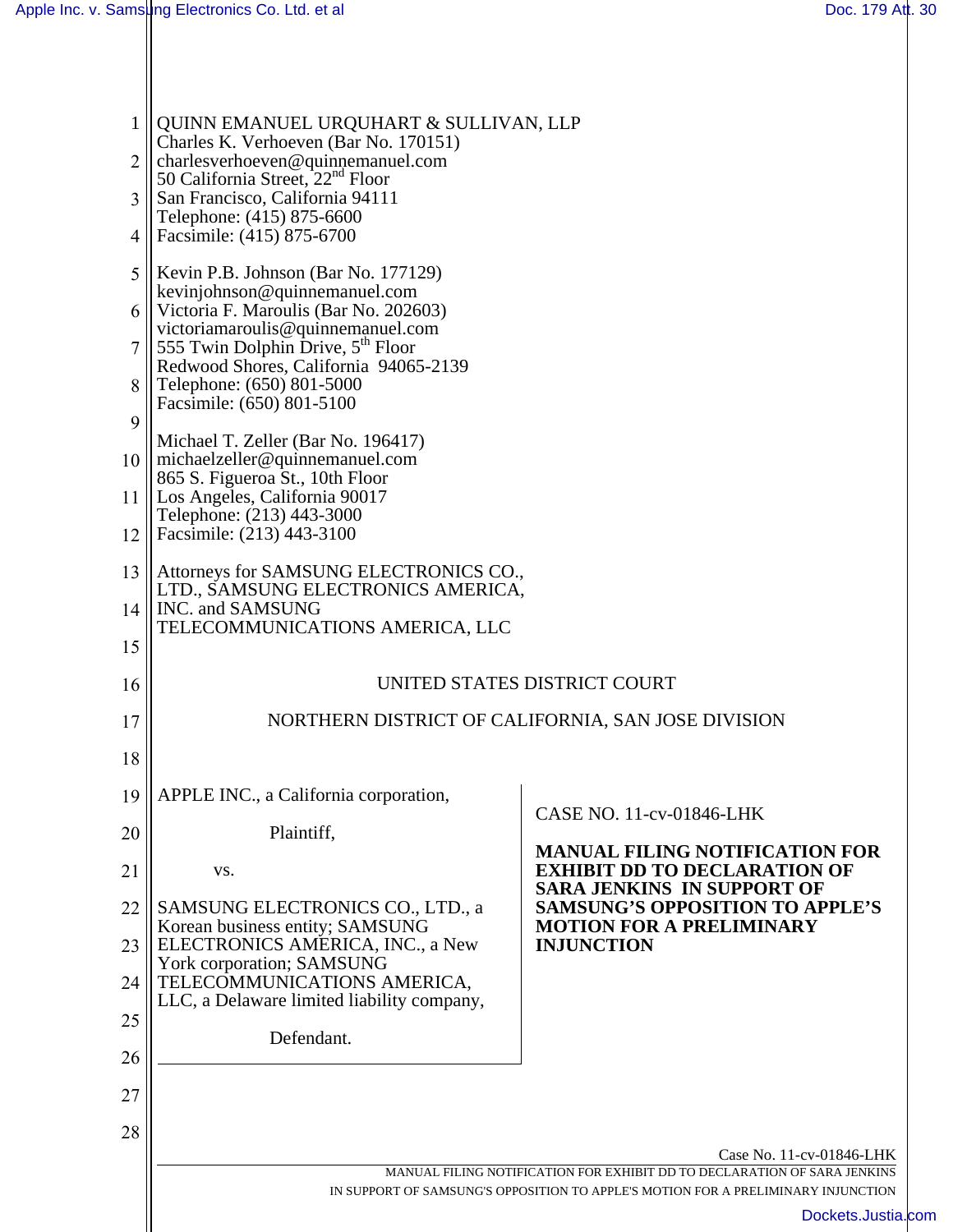| 1              | QUINN EMANUEL URQUHART & SULLIVAN, LLP<br>Charles K. Verhoeven (Bar No. 170151)                        |                                                                                                         |
|----------------|--------------------------------------------------------------------------------------------------------|---------------------------------------------------------------------------------------------------------|
| $\overline{2}$ | charlesverhoeven@quinnemanuel.com<br>50 California Street, $22nd$ Floor                                |                                                                                                         |
| 3              | San Francisco, California 94111<br>Telephone: (415) 875-6600                                           |                                                                                                         |
| 4              | Facsimile: (415) 875-6700                                                                              |                                                                                                         |
| 5              | Kevin P.B. Johnson (Bar No. 177129)                                                                    |                                                                                                         |
| 6              | kevinjohnson@quinnemanuel.com<br>Victoria F. Maroulis (Bar No. 202603)                                 |                                                                                                         |
|                | victoriamaroulis@quinnemanuel.com<br>S55 Twin Dolphin Drive, 5 <sup>th</sup> Floor                     |                                                                                                         |
| 8              | Redwood Shores, California 94065-2139<br>Telephone: (650) 801-5000                                     |                                                                                                         |
| 9              | Facsimile: (650) 801-5100                                                                              |                                                                                                         |
|                | Michael T. Zeller (Bar No. 196417)<br>10 $\parallel$ michaelzeller@quinnemanuel.com                    |                                                                                                         |
|                | 865 S. Figueroa St., 10th Floor                                                                        |                                                                                                         |
|                | 11   Los Angeles, California 90017<br>Telephone: (213) 443-3000                                        |                                                                                                         |
| 12             | Facsimile: (213) 443-3100                                                                              |                                                                                                         |
| 13             | Attorneys for SAMSUNG ELECTRONICS CO.,<br>LTD., SAMSUNG ELECTRONICS AMERICA,<br>14    INC. and SAMSUNG |                                                                                                         |
| 15             | TELECOMMUNICATIONS AMERICA, LLC                                                                        |                                                                                                         |
|                |                                                                                                        |                                                                                                         |
| 16             | UNITED STATES DISTRICT COURT                                                                           |                                                                                                         |
| 17             |                                                                                                        | NORTHERN DISTRICT OF CALIFORNIA, SAN JOSE DIVISION                                                      |
| 18             |                                                                                                        |                                                                                                         |
| 19             | APPLE INC., a California corporation,                                                                  | CASE NO. 11-cv-01846-LHK                                                                                |
| 20             | Plaintiff,                                                                                             | <b>MANUAL FILING NOTIFICATION FOR</b>                                                                   |
| 21             | VS.                                                                                                    | <b>EXHIBIT DD TO DECLARATION OF</b><br><b>SARA JENKINS IN SUPPORT OF</b>                                |
| 22             | SAMSUNG ELECTRONICS CO., LTD., a<br>Korean business entity; SAMSUNG                                    | <b>SAMSUNG'S OPPOSITION TO APPLE'S</b><br><b>MOTION FOR A PRELIMINARY</b>                               |
| 23             | ELECTRONICS AMERICA, INC., a New<br>York corporation; SAMSUNG                                          | <b>INJUNCTION</b>                                                                                       |
| 24             | TELECOMMUNICATIONS AMERICA,<br>LLC, a Delaware limited liability company,                              |                                                                                                         |
| 25             | Defendant.                                                                                             |                                                                                                         |
| 26             |                                                                                                        |                                                                                                         |
| 27             |                                                                                                        |                                                                                                         |
| 28             |                                                                                                        |                                                                                                         |
|                |                                                                                                        | Case No. 11-cv-01846-LHK<br>MANUAL FILING NOTIFICATION FOR EXHIBIT DD TO DECLARATION OF SARA JENKINS    |
|                |                                                                                                        | IN SUPPORT OF SAMSUNG'S OPPOSITION TO APPLE'S MOTION FOR A PRELIMINARY INJUNCTION<br>Dockets.Justia.com |
|                |                                                                                                        |                                                                                                         |